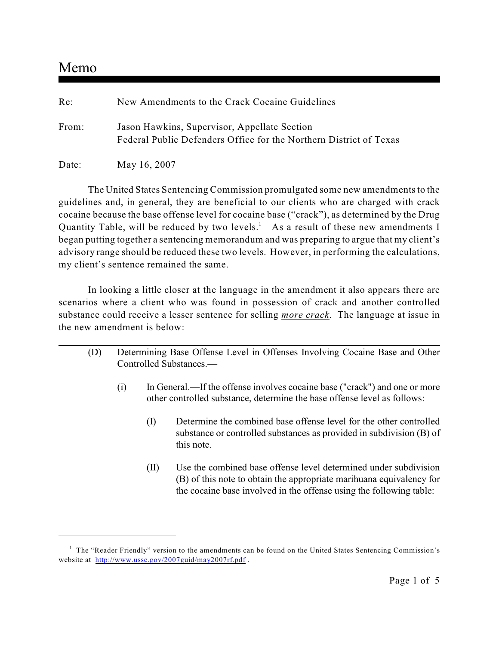# Memo

| Re:   | New Amendments to the Crack Cocaine Guidelines                                                                     |
|-------|--------------------------------------------------------------------------------------------------------------------|
| From: | Jason Hawkins, Supervisor, Appellate Section<br>Federal Public Defenders Office for the Northern District of Texas |
| Date: | May 16, 2007                                                                                                       |

The United States Sentencing Commission promulgated some new amendments to the guidelines and, in general, they are beneficial to our clients who are charged with crack cocaine because the base offense level for cocaine base ("crack"), as determined by the Drug Quantity Table, will be reduced by two levels.<sup>1</sup> As a result of these new amendments I began putting together a sentencing memorandum and was preparing to argue that my client's advisory range should be reduced these two levels. However, in performing the calculations, my client's sentence remained the same.

In looking a little closer at the language in the amendment it also appears there are scenarios where a client who was found in possession of crack and another controlled substance could receive a lesser sentence for selling *more crack*. The language at issue in the new amendment is below:

- (D) Determining Base Offense Level in Offenses Involving Cocaine Base and Other Controlled Substances.—
	- (i) In General.—If the offense involves cocaine base ("crack") and one or more other controlled substance, determine the base offense level as follows:
		- (I) Determine the combined base offense level for the other controlled substance or controlled substances as provided in subdivision (B) of this note.
		- (II) Use the combined base offense level determined under subdivision (B) of this note to obtain the appropriate marihuana equivalency for the cocaine base involved in the offense using the following table:

 $<sup>1</sup>$  The "Reader Friendly" version to the amendments can be found on the United States Sentencing Commission's</sup> website at <http://www.ussc.gov/2007guid/may2007rf.pdf>.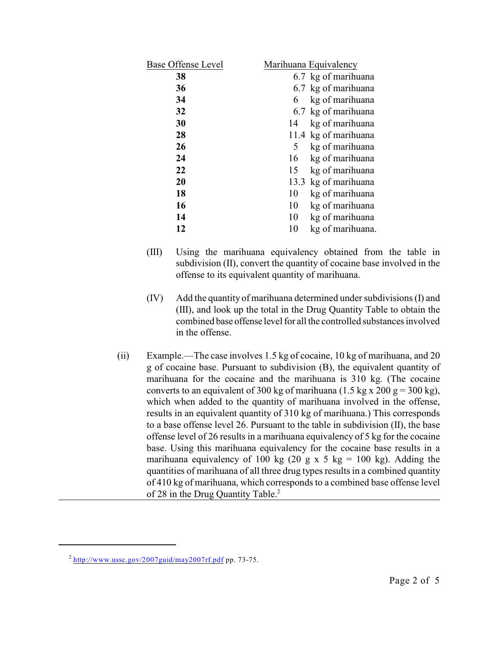| <b>Base Offense Level</b> | Marihuana Equivalency  |
|---------------------------|------------------------|
| 38                        | 6.7 kg of marihuana    |
| 36                        | 6.7 kg of marihuana    |
| 34                        | kg of marihuana<br>6   |
| 32                        | 6.7 kg of marihuana    |
| 30                        | kg of marihuana<br>14  |
| 28                        | 11.4 kg of marihuana   |
| 26                        | kg of marihuana<br>5   |
| 24                        | kg of marihuana<br>16  |
| 22                        | 15<br>kg of marihuana  |
| 20                        | 13.3 kg of marihuana   |
| 18                        | 10<br>kg of marihuana  |
| 16                        | 10<br>kg of marihuana  |
| 14                        | 10<br>kg of marihuana  |
| 12                        | 10<br>kg of marihuana. |
|                           |                        |

- (III) Using the marihuana equivalency obtained from the table in subdivision (II), convert the quantity of cocaine base involved in the offense to its equivalent quantity of marihuana.
- (IV) Add the quantity of marihuana determined under subdivisions (I) and (III), and look up the total in the Drug Quantity Table to obtain the combined base offense level for all the controlled substances involved in the offense.
- (ii) Example.—The case involves 1.5 kg of cocaine, 10 kg of marihuana, and 20 g of cocaine base. Pursuant to subdivision (B), the equivalent quantity of marihuana for the cocaine and the marihuana is 310 kg. (The cocaine converts to an equivalent of 300 kg of marihuana (1.5 kg x 200 g = 300 kg), which when added to the quantity of marihuana involved in the offense, results in an equivalent quantity of 310 kg of marihuana.) This corresponds to a base offense level 26. Pursuant to the table in subdivision (II), the base offense level of 26 results in a marihuana equivalency of 5 kg for the cocaine base. Using this marihuana equivalency for the cocaine base results in a marihuana equivalency of 100 kg (20 g x 5 kg = 100 kg). Adding the quantities of marihuana of all three drug types resultsin a combined quantity of 410 kg of marihuana, which corresponds to a combined base offense level of 28 in the Drug Quantity Table.<sup>2</sup>

 $^{2}$  <http://www.ussc.gov/2007guid/may2007rf.pdf> pp. 73-75.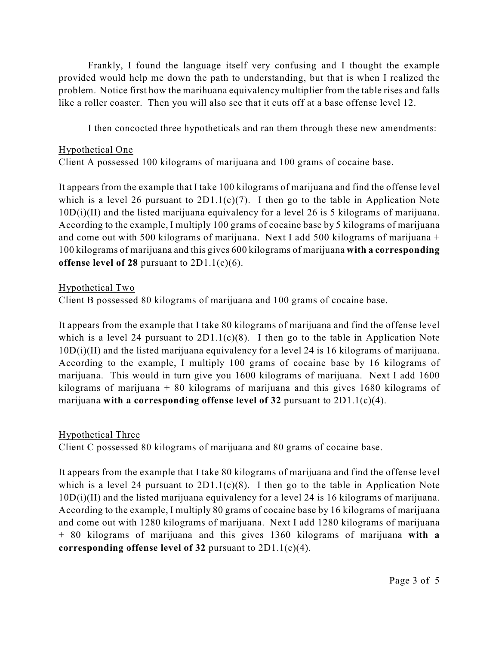Frankly, I found the language itself very confusing and I thought the example provided would help me down the path to understanding, but that is when I realized the problem. Notice first how the marihuana equivalency multiplier from the table rises and falls like a roller coaster. Then you will also see that it cuts off at a base offense level 12.

I then concocted three hypotheticals and ran them through these new amendments:

#### Hypothetical One

Client A possessed 100 kilograms of marijuana and 100 grams of cocaine base.

It appears from the example that I take 100 kilograms of marijuana and find the offense level which is a level 26 pursuant to  $2D1.1(c)(7)$ . I then go to the table in Application Note 10D(i)(II) and the listed marijuana equivalency for a level 26 is 5 kilograms of marijuana. According to the example, I multiply 100 grams of cocaine base by 5 kilograms of marijuana and come out with 500 kilograms of marijuana. Next I add 500 kilograms of marijuana + 100 kilograms of marijuana and this gives 600 kilograms of marijuana **with a corresponding offense level of 28** pursuant to 2D1.1(c)(6).

### Hypothetical Two

Client B possessed 80 kilograms of marijuana and 100 grams of cocaine base.

It appears from the example that I take 80 kilograms of marijuana and find the offense level which is a level 24 pursuant to  $2D1.1(c)(8)$ . I then go to the table in Application Note 10D(i)(II) and the listed marijuana equivalency for a level 24 is 16 kilograms of marijuana. According to the example, I multiply 100 grams of cocaine base by 16 kilograms of marijuana. This would in turn give you 1600 kilograms of marijuana. Next I add 1600 kilograms of marijuana  $+80$  kilograms of marijuana and this gives 1680 kilograms of marijuana **with a corresponding offense level of 32** pursuant to 2D1.1(c)(4).

## Hypothetical Three

Client C possessed 80 kilograms of marijuana and 80 grams of cocaine base.

It appears from the example that I take 80 kilograms of marijuana and find the offense level which is a level 24 pursuant to  $2D1.1(c)(8)$ . I then go to the table in Application Note 10D(i)(II) and the listed marijuana equivalency for a level 24 is 16 kilograms of marijuana. According to the example, I multiply 80 grams of cocaine base by 16 kilograms of marijuana and come out with 1280 kilograms of marijuana. Next I add 1280 kilograms of marijuana + 80 kilograms of marijuana and this gives 1360 kilograms of marijuana **with a corresponding offense level of 32** pursuant to 2D1.1(c)(4).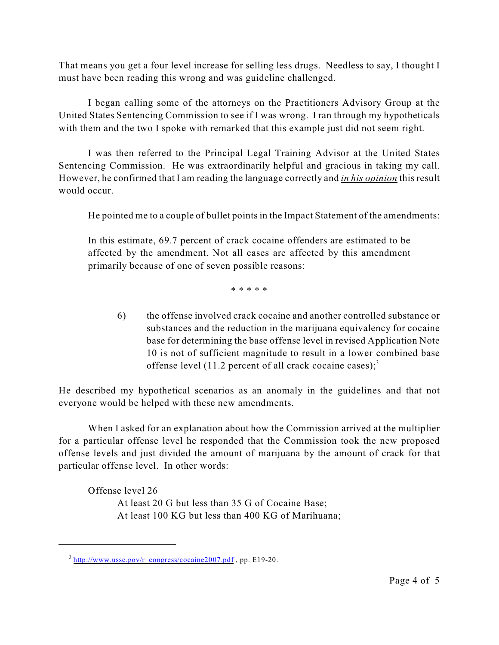That means you get a four level increase for selling less drugs. Needless to say, I thought I must have been reading this wrong and was guideline challenged.

I began calling some of the attorneys on the Practitioners Advisory Group at the United States Sentencing Commission to see if I was wrong. I ran through my hypotheticals with them and the two I spoke with remarked that this example just did not seem right.

I was then referred to the Principal Legal Training Advisor at the United States Sentencing Commission. He was extraordinarily helpful and gracious in taking my call. However, he confirmed that I am reading the language correctly and *in his opinion* this result would occur.

He pointed me to a couple of bullet points in the Impact Statement of the amendments:

In this estimate, 69.7 percent of crack cocaine offenders are estimated to be affected by the amendment. Not all cases are affected by this amendment primarily because of one of seven possible reasons:

\* \* \* \* \*

6) the offense involved crack cocaine and another controlled substance or substances and the reduction in the marijuana equivalency for cocaine base for determining the base offense level in revised Application Note 10 is not of sufficient magnitude to result in a lower combined base offense level (11.2 percent of all crack cocaine cases);<sup>3</sup>

He described my hypothetical scenarios as an anomaly in the guidelines and that not everyone would be helped with these new amendments.

When I asked for an explanation about how the Commission arrived at the multiplier for a particular offense level he responded that the Commission took the new proposed offense levels and just divided the amount of marijuana by the amount of crack for that particular offense level. In other words:

Offense level 26 At least 20 G but less than 35 G of Cocaine Base; At least 100 KG but less than 400 KG of Marihuana;

 $3 \frac{\text{http://www.ussc.gov/r} \text{congress/cocaine2007.pdf}}{p}$ , pp. E19-20.